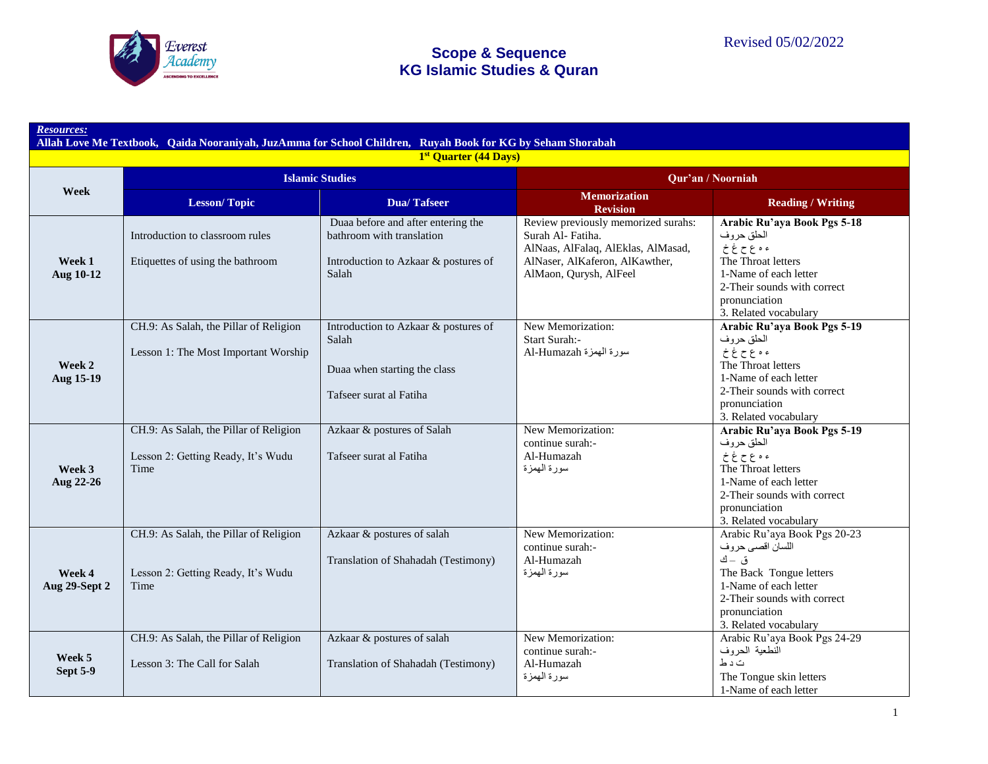

|                           |                                                                                      | 1st Quarter (44 Days)                                                                                            |                                                                                                                                                           |                                                                                                                                                                                         |
|---------------------------|--------------------------------------------------------------------------------------|------------------------------------------------------------------------------------------------------------------|-----------------------------------------------------------------------------------------------------------------------------------------------------------|-----------------------------------------------------------------------------------------------------------------------------------------------------------------------------------------|
| Week                      |                                                                                      | <b>Islamic Studies</b>                                                                                           |                                                                                                                                                           | Qur'an / Noorniah                                                                                                                                                                       |
|                           | <b>Lesson/Topic</b>                                                                  | <b>Dua/Tafseer</b>                                                                                               | <b>Memorization</b><br><b>Revision</b>                                                                                                                    | <b>Reading / Writing</b>                                                                                                                                                                |
| Week 1<br>Aug 10-12       | Introduction to classroom rules<br>Etiquettes of using the bathroom                  | Duaa before and after entering the<br>bathroom with translation<br>Introduction to Azkaar & postures of<br>Salah | Review previously memorized surahs:<br>Surah Al-Fatiha.<br>AlNaas, AlFalaq, AlEklas, AlMasad,<br>AlNaser, AlKaferon, AlKawther,<br>AlMaon, Qurysh, AlFeel | Arabic Ru'aya Book Pgs 5-18<br>الحلق حروف<br>ء ہ ع ح غ خ<br>The Throat letters<br>1-Name of each letter<br>2-Their sounds with correct<br>pronunciation<br>3. Related vocabulary        |
| Week 2<br>Aug 15-19       | CH.9: As Salah, the Pillar of Religion<br>Lesson 1: The Most Important Worship       | Introduction to Azkaar & postures of<br>Salah<br>Duaa when starting the class<br>Tafseer surat al Fatiha         | New Memorization:<br>Start Surah:-<br>سورة الهمزة Al-Humazah                                                                                              | Arabic Ru'aya Book Pgs 5-19<br>الحلق حروف<br>ء ہ ع ح غ خ<br>The Throat letters<br>1-Name of each letter<br>2-Their sounds with correct<br>pronunciation<br>3. Related vocabulary        |
| Week 3<br>Aug 22-26       | CH.9: As Salah, the Pillar of Religion<br>Lesson 2: Getting Ready, It's Wudu<br>Time | Azkaar & postures of Salah<br>Tafseer surat al Fatiha                                                            | New Memorization:<br>continue surah:-<br>Al-Humazah<br>سورة المهمزة                                                                                       | Arabic Ru'aya Book Pgs 5-19<br>الحلق حروف<br>ء ہ ع ح غ خ<br>The Throat letters<br>1-Name of each letter<br>2-Their sounds with correct<br>pronunciation<br>3. Related vocabulary        |
| Week 4<br>Aug 29-Sept 2   | CH.9: As Salah, the Pillar of Religion<br>Lesson 2: Getting Ready, It's Wudu<br>Time | Azkaar & postures of salah<br>Translation of Shahadah (Testimony)                                                | New Memorization:<br>continue surah:-<br>Al-Humazah<br>سورة البهمزة                                                                                       | Arabic Ru'aya Book Pgs 20-23<br>اللسان اقصىي حروف<br>ق – ك<br>The Back Tongue letters<br>1-Name of each letter<br>2-Their sounds with correct<br>pronunciation<br>3. Related vocabulary |
| Week 5<br><b>Sept 5-9</b> | CH.9: As Salah, the Pillar of Religion<br>Lesson 3: The Call for Salah               | Azkaar & postures of salah<br>Translation of Shahadah (Testimony)                                                | New Memorization:<br>continue surah:-<br>Al-Humazah<br>سورة المهمزة                                                                                       | Arabic Ru'aya Book Pgs 24-29<br>النطعية الحروف<br>ت د ط<br>The Tongue skin letters<br>1-Name of each letter                                                                             |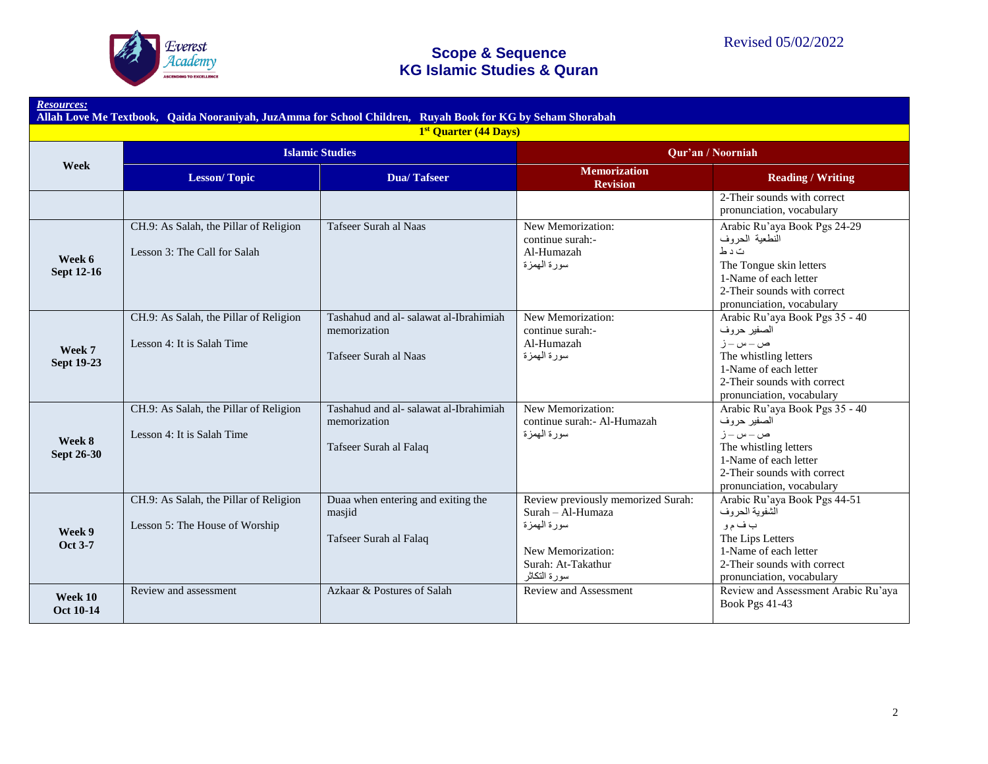

# **Scope & Sequence**

| Allah Love Me Textbook, Qaida Nooraniyah, JuzAmma for School Children, Ruyah Book for KG by Seham Shorabah |                                                                          |                                                                                  |                                                                                                                                    |                                                                                                                                                                          |  |  |
|------------------------------------------------------------------------------------------------------------|--------------------------------------------------------------------------|----------------------------------------------------------------------------------|------------------------------------------------------------------------------------------------------------------------------------|--------------------------------------------------------------------------------------------------------------------------------------------------------------------------|--|--|
| 1 <sup>st</sup> Quarter (44 Days)                                                                          |                                                                          |                                                                                  |                                                                                                                                    |                                                                                                                                                                          |  |  |
| Week                                                                                                       |                                                                          | <b>Islamic Studies</b>                                                           | Qur'an / Noorniah                                                                                                                  |                                                                                                                                                                          |  |  |
|                                                                                                            | <b>Lesson/Topic</b>                                                      | <b>Dua/Tafseer</b>                                                               | <b>Memorization</b><br><b>Revision</b>                                                                                             | <b>Reading / Writing</b>                                                                                                                                                 |  |  |
|                                                                                                            |                                                                          |                                                                                  |                                                                                                                                    | 2-Their sounds with correct<br>pronunciation, vocabulary                                                                                                                 |  |  |
| Week 6<br><b>Sept 12-16</b>                                                                                | CH.9: As Salah, the Pillar of Religion<br>Lesson 3: The Call for Salah   | Tafseer Surah al Naas                                                            | New Memorization:<br>continue surah:-<br>Al-Humazah<br>سورة المهمزة                                                                | Arabic Ru'aya Book Pgs 24-29<br>النطعية الحروف<br>ت د ط<br>The Tongue skin letters<br>1-Name of each letter<br>2-Their sounds with correct<br>pronunciation, vocabulary  |  |  |
| Week 7<br><b>Sept 19-23</b>                                                                                | CH.9: As Salah, the Pillar of Religion<br>Lesson 4: It is Salah Time     | Tashahud and al-salawat al-Ibrahimiah<br>memorization<br>Tafseer Surah al Naas   | New Memorization:<br>continue surah:-<br>Al-Humazah<br>سورة الممزة                                                                 | Arabic Ru'aya Book Pgs 35 - 40<br>الصفير حروف<br>ص ـ س ـ ز<br>The whistling letters<br>1-Name of each letter<br>2-Their sounds with correct<br>pronunciation, vocabulary |  |  |
| Week 8<br><b>Sept 26-30</b>                                                                                | CH.9: As Salah, the Pillar of Religion<br>Lesson 4: It is Salah Time     | Tashahud and al- salawat al-Ibrahimiah<br>memorization<br>Tafseer Surah al Falaq | New Memorization:<br>continue surah: - Al-Humazah<br>سورة البهمزة                                                                  | Arabic Ru'aya Book Pgs 35 - 40<br>الصفير حروف<br>ص ـ س ـ ز<br>The whistling letters<br>1-Name of each letter<br>2-Their sounds with correct<br>pronunciation, vocabulary |  |  |
| Week 9<br>Oct 3-7                                                                                          | CH.9: As Salah, the Pillar of Religion<br>Lesson 5: The House of Worship | Duaa when entering and exiting the<br>masjid<br>Tafseer Surah al Falaq           | Review previously memorized Surah:<br>Surah – Al-Humaza<br>سورة المهمزة<br>New Memorization:<br>Surah: At-Takathur<br>سورة التكاثر | Arabic Ru'aya Book Pgs 44-51<br>الشفوية الحروف<br>ب ف م و<br>The Lips Letters<br>1-Name of each letter<br>2-Their sounds with correct<br>pronunciation, vocabulary       |  |  |
| Week 10<br><b>Oct 10-14</b>                                                                                | Review and assessment                                                    | Azkaar & Postures of Salah                                                       | Review and Assessment                                                                                                              | Review and Assessment Arabic Ru'aya<br><b>Book Pgs 41-43</b>                                                                                                             |  |  |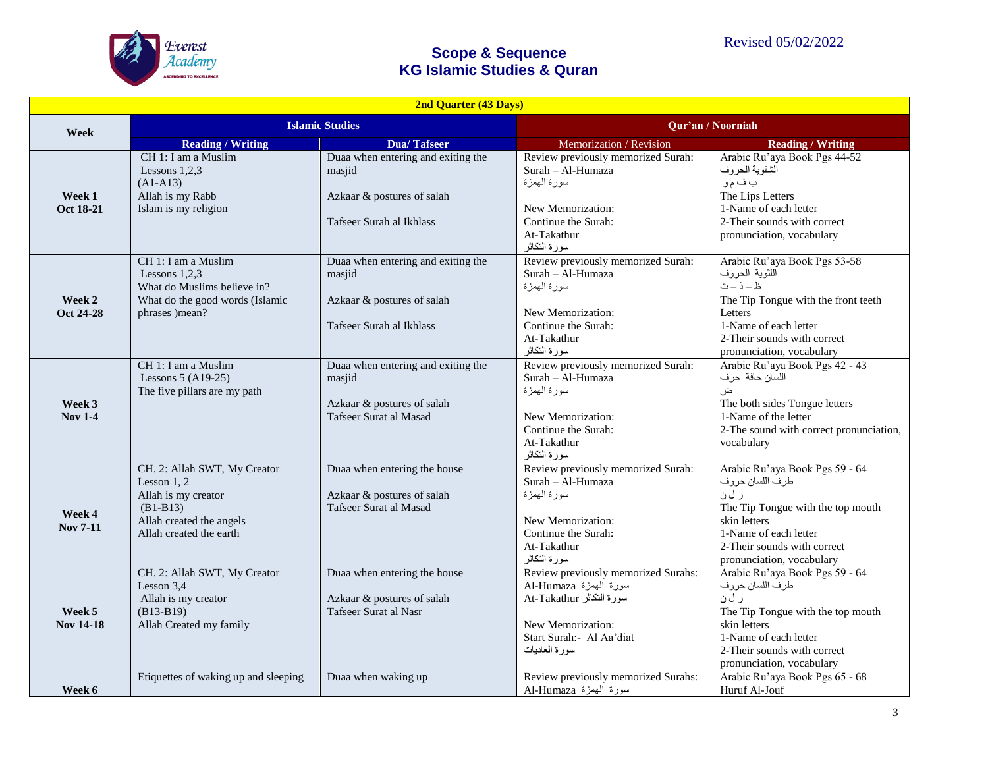

| <b>2nd Quarter (43 Days)</b> |                                                                                                                                           |                                                                                                        |                                                                                                                                                             |                                                                                                                                                                                                                                       |  |
|------------------------------|-------------------------------------------------------------------------------------------------------------------------------------------|--------------------------------------------------------------------------------------------------------|-------------------------------------------------------------------------------------------------------------------------------------------------------------|---------------------------------------------------------------------------------------------------------------------------------------------------------------------------------------------------------------------------------------|--|
| Week                         | <b>Islamic Studies</b>                                                                                                                    |                                                                                                        | Qur'an / Noorniah                                                                                                                                           |                                                                                                                                                                                                                                       |  |
|                              | <b>Reading / Writing</b>                                                                                                                  | <b>Dua/Tafseer</b>                                                                                     | Memorization / Revision                                                                                                                                     | <b>Reading / Writing</b>                                                                                                                                                                                                              |  |
| Week 1<br>Oct 18-21          | CH 1: I am a Muslim<br>Lessons $1.2.3$<br>$(A1-A13)$<br>Allah is my Rabb<br>Islam is my religion                                          | Duaa when entering and exiting the<br>masjid<br>Azkaar & postures of salah<br>Tafseer Surah al Ikhlass | Review previously memorized Surah:<br>Surah - Al-Humaza<br>سورة المهمزة<br>New Memorization:<br>Continue the Surah:<br>At-Takathur<br>سورة التكاثر          | Arabic Ru'aya Book Pgs 44-52<br>الشفوية الحروف<br>ب ف م و<br>The Lips Letters<br>1-Name of each letter<br>2-Their sounds with correct<br>pronunciation, vocabulary                                                                    |  |
| Week 2<br>Oct 24-28          | CH 1: I am a Muslim<br>Lessons $1,2,3$<br>What do Muslims believe in?<br>What do the good words (Islamic<br>phrases )mean?                | Duaa when entering and exiting the<br>masjid<br>Azkaar & postures of salah<br>Tafseer Surah al Ikhlass | Review previously memorized Surah:<br>Surah - Al-Humaza<br>سورة المهمزة<br>New Memorization:<br>Continue the Surah:<br>At-Takathur<br>سورة التكاثر          | Arabic Ru'aya Book Pgs 53-58<br>اللثوية الحروف<br>$\Delta=\dot{\mathcal{L}}-\dot{\mathcal{L}}$<br>The Tip Tongue with the front teeth<br>Letters<br>1-Name of each letter<br>2-Their sounds with correct<br>pronunciation, vocabulary |  |
| Week 3<br><b>Nov 1-4</b>     | CH 1: I am a Muslim<br>Lessons $5 (A19-25)$<br>The five pillars are my path                                                               | Duaa when entering and exiting the<br>masjid<br>Azkaar & postures of salah<br>Tafseer Surat al Masad   | Review previously memorized Surah:<br>Surah - Al-Humaza<br>سورة المهمزة<br>New Memorization:<br>Continue the Surah:<br>At-Takathur<br>سورة التكاثر          | Arabic Ru'aya Book Pgs 42 - 43<br>اللسان حافة حرف<br>ض<br>The both sides Tongue letters<br>1-Name of the letter<br>2-The sound with correct pronunciation,<br>vocabulary                                                              |  |
| Week 4<br><b>Nov 7-11</b>    | CH. 2: Allah SWT, My Creator<br>Lesson $1, 2$<br>Allah is my creator<br>$(B1-B13)$<br>Allah created the angels<br>Allah created the earth | Duaa when entering the house<br>Azkaar & postures of salah<br>Tafseer Surat al Masad                   | Review previously memorized Surah:<br>Surah - Al-Humaza<br>سورة المهمزة<br>New Memorization:<br>Continue the Surah:<br>At-Takathur<br>سورة التكاثر          | Arabic Ru'aya Book Pgs 59 - 64<br>طرف اللسان حروف<br>ر ل ن<br>The Tip Tongue with the top mouth<br>skin letters<br>1-Name of each letter<br>2-Their sounds with correct<br>pronunciation, vocabulary                                  |  |
| Week 5<br><b>Nov 14-18</b>   | CH. 2: Allah SWT, My Creator<br>Lesson 3,4<br>Allah is my creator<br>$(B13-B19)$<br>Allah Created my family                               | Duaa when entering the house<br>Azkaar & postures of salah<br>Tafseer Surat al Nasr                    | Review previously memorized Surahs:<br>سورة المهمزة Al-Humaza<br>سورة التكاثر At-Takathur<br>New Memorization:<br>Start Surah:- Al Aa'diat<br>سورة العاديات | Arabic Ru'aya Book Pgs 59 - 64<br>طرف اللسان حروف<br>ر ل ن<br>The Tip Tongue with the top mouth<br>skin letters<br>1-Name of each letter<br>2-Their sounds with correct<br>pronunciation, vocabulary                                  |  |
| Week 6                       | Etiquettes of waking up and sleeping                                                                                                      | Duaa when waking up                                                                                    | Review previously memorized Surahs:<br>سورة المهمزة Al-Humaza                                                                                               | Arabic Ru'aya Book Pgs 65 - 68<br>Huruf Al-Jouf                                                                                                                                                                                       |  |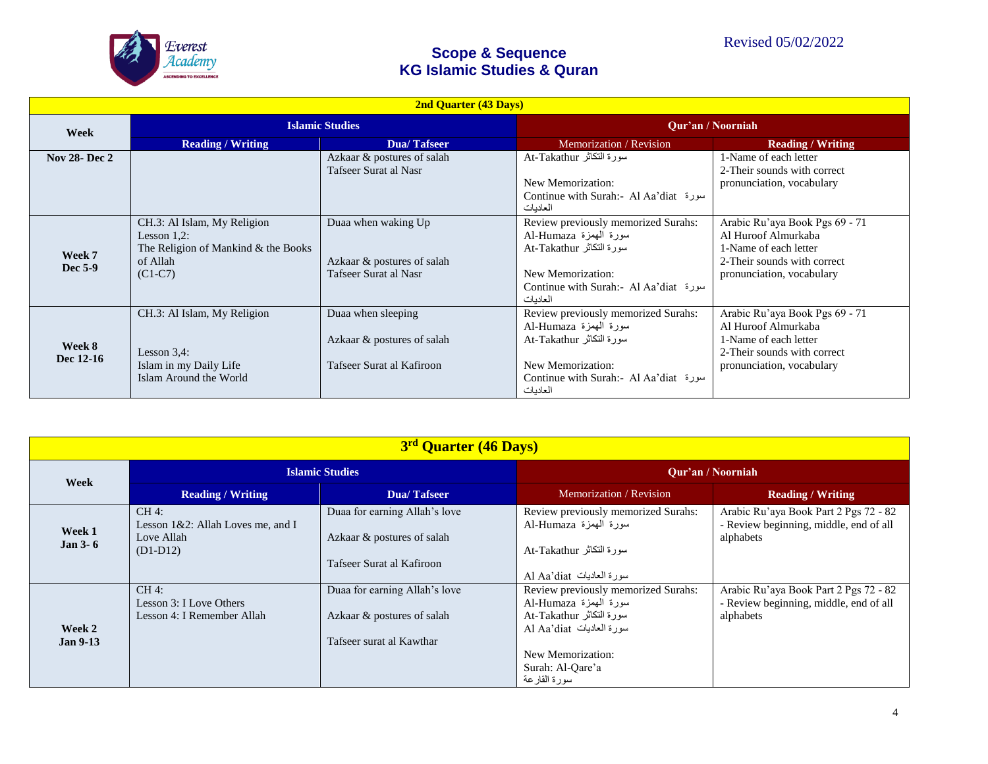

| <b>2nd Quarter (43 Days)</b> |                                                                                                               |                                                                               |                                                                                                                                                                  |                                                                                                                                            |
|------------------------------|---------------------------------------------------------------------------------------------------------------|-------------------------------------------------------------------------------|------------------------------------------------------------------------------------------------------------------------------------------------------------------|--------------------------------------------------------------------------------------------------------------------------------------------|
| Week                         | <b>Islamic Studies</b>                                                                                        |                                                                               | Qur'an / Noorniah                                                                                                                                                |                                                                                                                                            |
|                              | <b>Reading / Writing</b>                                                                                      | <b>Dua/Tafseer</b>                                                            | Memorization / Revision                                                                                                                                          | <b>Reading / Writing</b>                                                                                                                   |
| <b>Nov 28-Dec 2</b>          |                                                                                                               | Azkaar & postures of salah<br>Tafseer Surat al Nasr                           | سورة النكاثر At-Takathur<br>New Memorization:<br>Continue with Surah:- Al Aa'diat »<br>العادبات                                                                  | 1-Name of each letter<br>2-Their sounds with correct<br>pronunciation, vocabulary                                                          |
| Week 7<br>Dec 5-9            | CH.3: Al Islam, My Religion<br>Lesson $1,2$ :<br>The Religion of Mankind & the Books<br>of Allah<br>$(C1-C7)$ | Duaa when waking Up<br>Azkaar & postures of salah<br>Tafseer Surat al Nasr    | Review previously memorized Surahs:<br>سورة المهمزة Al-Humaza<br>سورة النكاثر At-Takathur<br>New Memorization:<br>Continue with Surah:- Al Aa'diat »<br>العاديات | Arabic Ru'aya Book Pgs 69 - 71<br>Al Huroof Almurkaba<br>1-Name of each letter<br>2-Their sounds with correct<br>pronunciation, vocabulary |
| Week 8<br>Dec 12-16          | CH.3: Al Islam, My Religion<br>Lesson $3,4$ :<br>Islam in my Daily Life<br>Islam Around the World             | Duaa when sleeping<br>Azkaar & postures of salah<br>Tafseer Surat al Kafiroon | Review previously memorized Surahs:<br>سورة المهمزة Al-Humaza<br>سورة النكاثر At-Takathur<br>New Memorization:<br>Continue with Surah:- Al Aa'diat<br>العادبات   | Arabic Ru'aya Book Pgs 69 - 71<br>Al Huroof Almurkaba<br>1-Name of each letter<br>2-Their sounds with correct<br>pronunciation, vocabulary |

| 3 <sup>rd</sup> Quarter (46 Days) |                                                                          |                                                                                          |                                                                                                                                                                                |                                                                                              |  |
|-----------------------------------|--------------------------------------------------------------------------|------------------------------------------------------------------------------------------|--------------------------------------------------------------------------------------------------------------------------------------------------------------------------------|----------------------------------------------------------------------------------------------|--|
|                                   | <b>Islamic Studies</b>                                                   |                                                                                          | <b>Our'an / Noorniah</b>                                                                                                                                                       |                                                                                              |  |
| Week                              | <b>Reading / Writing</b>                                                 | Dua/Tafseer                                                                              | Memorization / Revision                                                                                                                                                        | <b>Reading / Writing</b>                                                                     |  |
| Week 1<br>Jan $3-6$               | $CH4$ :<br>Lesson 1&2: Allah Loves me, and I<br>Love Allah<br>$(D1-D12)$ | Duaa for earning Allah's love<br>Azkaar & postures of salah<br>Tafseer Surat al Kafiroon | Review previously memorized Surahs:<br>سورة المهمزة Al-Humaza<br>سورة النكاثر At-Takathur<br>سورة العاديات Al Aa'diat                                                          | Arabic Ru'aya Book Part 2 Pgs 72 - 82<br>- Review beginning, middle, end of all<br>alphabets |  |
| Week 2<br><b>Jan 9-13</b>         | $CH4$ :<br>Lesson 3: I Love Others<br>Lesson 4: I Remember Allah         | Duaa for earning Allah's love<br>Azkaar & postures of salah<br>Tafseer surat al Kawthar  | Review previously memorized Surahs:<br>سورة المهمزة Al-Humaza<br>سورة النكاثر At-Takathur<br>سورة العاديات Al Aa'diat<br>New Memorization:<br>Surah: Al-Qare'a<br>سورة القارعة | Arabic Ru'aya Book Part 2 Pgs 72 - 82<br>- Review beginning, middle, end of all<br>alphabets |  |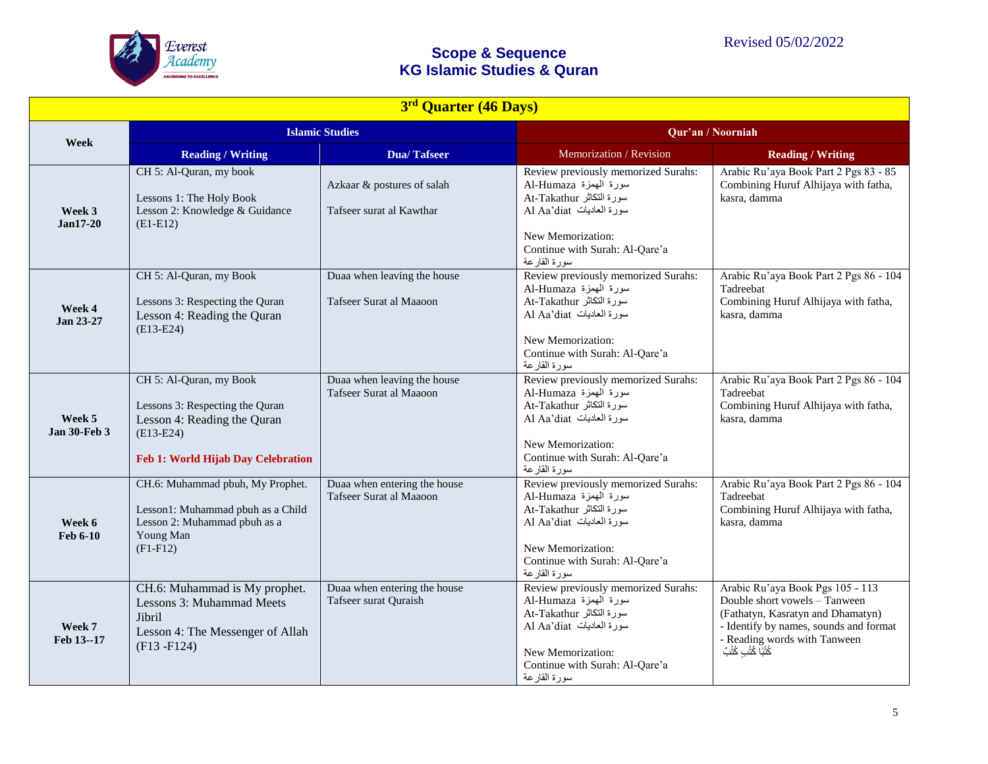

|                               | 3rd Quarter (46 Days)                                                                                                                          |                                                         |                                                                                                                                                                                             |                                                                                                                                                                                                           |  |
|-------------------------------|------------------------------------------------------------------------------------------------------------------------------------------------|---------------------------------------------------------|---------------------------------------------------------------------------------------------------------------------------------------------------------------------------------------------|-----------------------------------------------------------------------------------------------------------------------------------------------------------------------------------------------------------|--|
|                               | <b>Islamic Studies</b>                                                                                                                         |                                                         | Qur'an / Noorniah                                                                                                                                                                           |                                                                                                                                                                                                           |  |
| Week                          | <b>Reading / Writing</b>                                                                                                                       | <b>Dua/Tafseer</b>                                      | Memorization / Revision                                                                                                                                                                     | <b>Reading / Writing</b>                                                                                                                                                                                  |  |
| Week 3<br>$Jan17-20$          | CH 5: Al-Quran, my book<br>Lessons 1: The Holy Book<br>Lesson 2: Knowledge & Guidance<br>$(E1-E12)$                                            | Azkaar & postures of salah<br>Tafseer surat al Kawthar  | Review previously memorized Surahs:<br>سورة الهمزة Al-Humaza<br>سورة النكاثر At-Takathur<br>سورة العاديات Al Aa'diat<br>New Memorization:<br>Continue with Surah: Al-Qare'a<br>سورة القارعة | Arabic Ru'aya Book Part 2 Pgs 83 - 85<br>Combining Huruf Alhijaya with fatha,<br>kasra, damma                                                                                                             |  |
| Week 4<br>Jan 23-27           | CH 5: Al-Quran, my Book<br>Lessons 3: Respecting the Quran<br>Lesson 4: Reading the Quran<br>$(E13-E24)$                                       | Duaa when leaving the house<br>Tafseer Surat al Maaoon  | Review previously memorized Surahs:<br>سورة الهمزة Al-Humaza<br>سورة النكاثر At-Takathur<br>سورة العاديات Al Aa'diat<br>New Memorization:<br>Continue with Surah: Al-Qare'a<br>سورة القارعة | Arabic Ru'aya Book Part 2 Pgs 86 - 104<br>Tadreebat<br>Combining Huruf Alhijaya with fatha,<br>kasra, damma                                                                                               |  |
| Week 5<br><b>Jan 30-Feb 3</b> | CH 5: Al-Quran, my Book<br>Lessons 3: Respecting the Quran<br>Lesson 4: Reading the Quran<br>$(E13-E24)$<br>Feb 1: World Hijab Day Celebration | Duaa when leaving the house<br>Tafseer Surat al Maaoon  | Review previously memorized Surahs:<br>سورة الهمزة Al-Humaza<br>سورة التكاثر At-Takathur<br>سورة العاديات Al Aa'diat<br>New Memorization:<br>Continue with Surah: Al-Qare'a<br>سورة القارعة | Arabic Ru'aya Book Part 2 Pgs 86 - 104<br>Tadreebat<br>Combining Huruf Alhijaya with fatha,<br>kasra, damma                                                                                               |  |
| Week 6<br>Feb 6-10            | CH.6: Muhammad pbuh, My Prophet.<br>Lesson1: Muhammad pbuh as a Child<br>Lesson 2: Muhammad pbuh as a<br>Young Man<br>$(F1 - F12)$             | Duaa when entering the house<br>Tafseer Surat al Maaoon | Review previously memorized Surahs:<br>سورة الهمزة Al-Humaza<br>سورة النكاثر At-Takathur<br>سورة العاديات Al Aa'diat<br>New Memorization:<br>Continue with Surah: Al-Qare'a<br>سورة القارعة | Arabic Ru'aya Book Part 2 Pgs 86 - 104<br>Tadreebat<br>Combining Huruf Alhijaya with fatha,<br>kasra, damma                                                                                               |  |
| Week 7<br>Feb 13--17          | CH.6: Muhammad is My prophet.<br>Lessons 3: Muhammad Meets<br>Jibril<br>Lesson 4: The Messenger of Allah<br>$(F13 - F124)$                     | Duaa when entering the house<br>Tafseer surat Quraish   | Review previously memorized Surahs:<br>سورة الهمزة Al-Humaza<br>سورة التكاثر At-Takathur<br>سورة العاديات Al Aa'diat<br>New Memorization:<br>Continue with Surah: Al-Qare'a<br>سورة القارعة | Arabic Ru'aya Book Pgs 105 - 113<br>Double short vowels - Tanween<br>(Fathatyn, Kasratyn and Dhamatyn)<br>- Identify by names, sounds and format<br>- Reading words with Tanween<br>كُتُبَا كُتُبِ كُتُبً |  |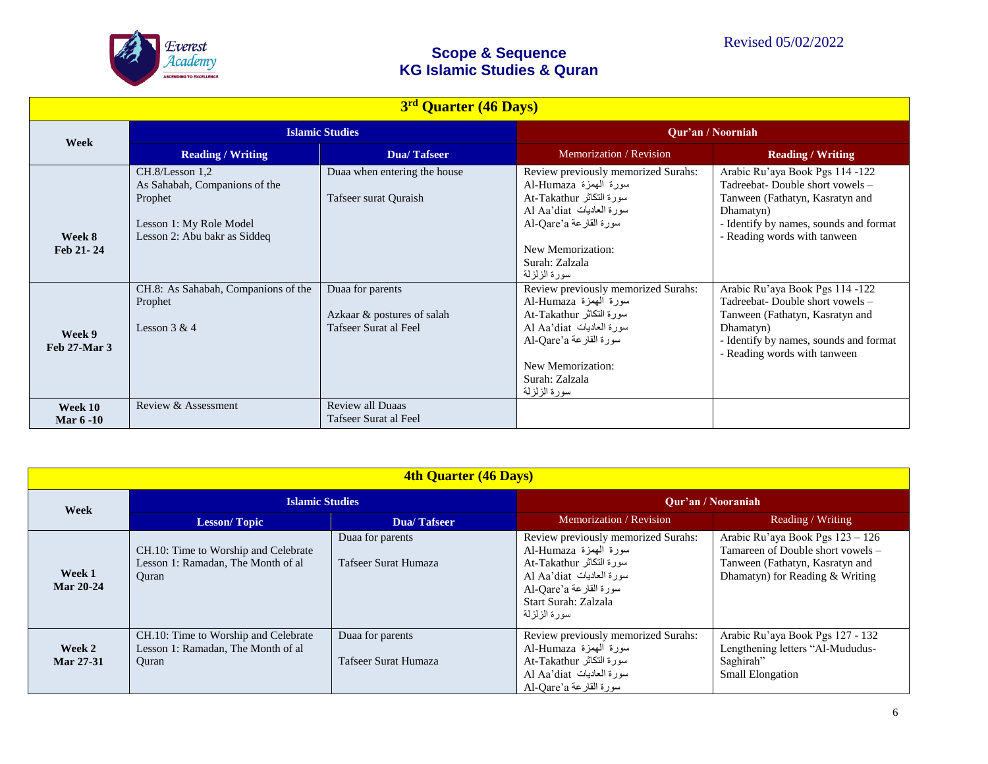

| 3rd Quarter (46 Days)  |                                                                                                                        |                                                                         |                                                                                                                                                                                                            |                                                                                                                                                                                               |  |
|------------------------|------------------------------------------------------------------------------------------------------------------------|-------------------------------------------------------------------------|------------------------------------------------------------------------------------------------------------------------------------------------------------------------------------------------------------|-----------------------------------------------------------------------------------------------------------------------------------------------------------------------------------------------|--|
| Week                   | <b>Islamic Studies</b>                                                                                                 |                                                                         | Qur'an / Noorniah                                                                                                                                                                                          |                                                                                                                                                                                               |  |
|                        | <b>Reading / Writing</b>                                                                                               | Dua/Tafseer                                                             | Memorization / Revision                                                                                                                                                                                    | <b>Reading / Writing</b>                                                                                                                                                                      |  |
| Week 8<br>Feb 21-24    | CH.8/Lesson 1.2<br>As Sahabah, Companions of the<br>Prophet<br>Lesson 1: My Role Model<br>Lesson 2: Abu bakr as Siddeq | Duaa when entering the house<br>Tafseer surat Quraish                   | Review previously memorized Surahs:<br>سورة المهمزة Al-Humaza<br>سورة النكاثر At-Takathur<br>سورة العاديات Al Aa'diat<br>Al-Qare'a القارعة<br>New Memorization:<br>Surah: Zalzala<br>سورة الزلزلة          | Arabic Ru'aya Book Pgs 114 -122<br>Tadreebat- Double short vowels -<br>Tanween (Fathatyn, Kasratyn and<br>Dhamatyn)<br>- Identify by names, sounds and format<br>- Reading words with tanween |  |
| Week 9<br>Feb 27-Mar 3 | CH.8: As Sahabah, Companions of the<br>Prophet<br>Lesson $3 & 4$                                                       | Duaa for parents<br>Azkaar & postures of salah<br>Tafseer Surat al Feel | Review previously memorized Surahs:<br>سورة الهمزة Al-Humaza<br>سورة النكاثر At-Takathur<br>سورة العاديات Al Aa'diat<br>Al-Qare'a القارعة Al-Qare'a<br>New Memorization:<br>Surah: Zalzala<br>سورة الزلزلة | Arabic Ru'aya Book Pgs 114 -122<br>Tadreebat- Double short vowels -<br>Tanween (Fathatyn, Kasratyn and<br>Dhamatyn)<br>- Identify by names, sounds and format<br>- Reading words with tanween |  |
| Week 10<br>Mar 6 -10   | Review & Assessment                                                                                                    | <b>Review all Duaas</b><br>Tafseer Surat al Feel                        |                                                                                                                                                                                                            |                                                                                                                                                                                               |  |

| <b>4th Quarter (46 Days)</b> |                                                                                     |                                                 |                                                                                                                                                                                    |                                                                                                                                             |  |
|------------------------------|-------------------------------------------------------------------------------------|-------------------------------------------------|------------------------------------------------------------------------------------------------------------------------------------------------------------------------------------|---------------------------------------------------------------------------------------------------------------------------------------------|--|
| <b>Week</b>                  | <b>Islamic Studies</b>                                                              |                                                 | <b>Our'an / Nooraniah</b>                                                                                                                                                          |                                                                                                                                             |  |
|                              | <b>Lesson/Topic</b>                                                                 | <b>Dua/Tafseer</b>                              | Memorization / Revision                                                                                                                                                            | Reading Writing                                                                                                                             |  |
| Week 1<br><b>Mar 20-24</b>   | CH.10: Time to Worship and Celebrate<br>Lesson 1: Ramadan, The Month of al<br>Ouran | Duaa for parents<br>Tafseer Surat Humaza        | Review previously memorized Surahs:<br>سورة المهمزة Al-Humaza<br>سورة النكاثر At-Takathur<br>سورة العاديات Al Aa'diat<br>Al-Qare'a القارعة<br>Start Surah: Zalzala<br>سورة الزلزلة | Arabic Ru'aya Book Pgs 123 - 126<br>Tamareen of Double short vowels -<br>Tanween (Fathatyn, Kasratyn and<br>Dhamatyn) for Reading & Writing |  |
| Week 2<br>Mar 27-31          | CH.10: Time to Worship and Celebrate<br>Lesson 1: Ramadan, The Month of al<br>Ouran | Duaa for parents<br><b>Tafseer Surat Humaza</b> | Review previously memorized Surahs:<br>سورة المهمزة Al-Humaza<br>سورة النكاثر At-Takathur<br>سورة العاديات Al Aa'diat<br>Al-Qare'a القارعة                                         | Arabic Ru'aya Book Pgs 127 - 132<br>Lengthening letters "Al-Mududus-<br>Saghirah"<br><b>Small Elongation</b>                                |  |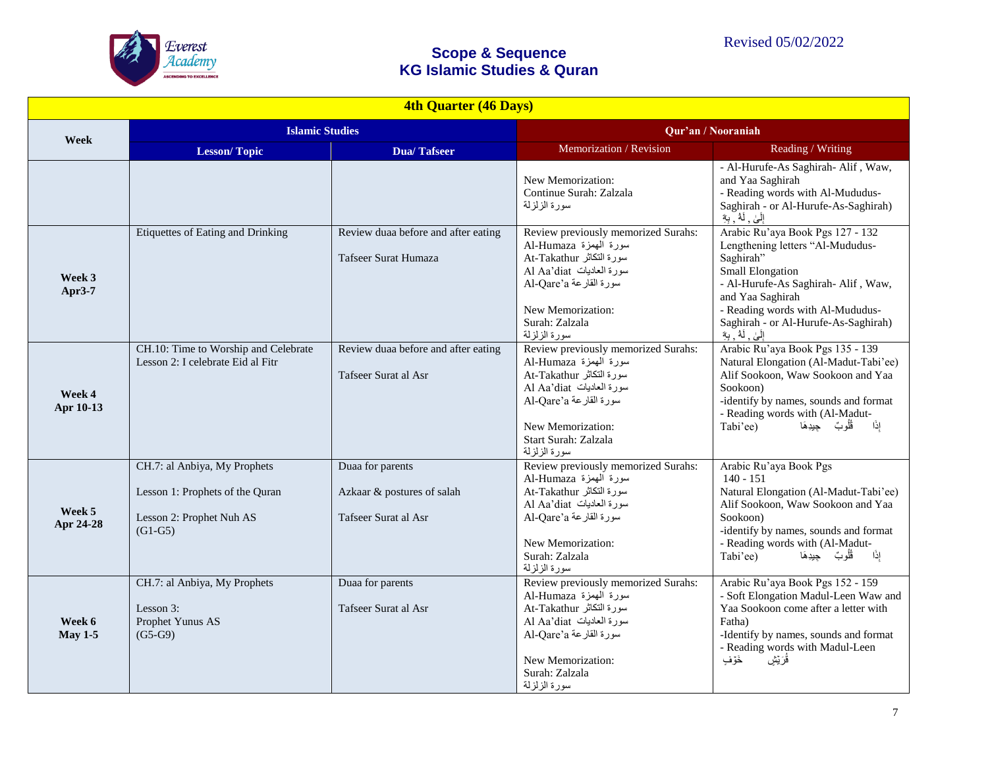

| <b>4th Quarter (46 Days)</b> |                                                                                                          |                                                                        |                                                                                                                                                                                                        |                                                                                                                                                                                                                                                                      |
|------------------------------|----------------------------------------------------------------------------------------------------------|------------------------------------------------------------------------|--------------------------------------------------------------------------------------------------------------------------------------------------------------------------------------------------------|----------------------------------------------------------------------------------------------------------------------------------------------------------------------------------------------------------------------------------------------------------------------|
| <b>Week</b>                  | <b>Islamic Studies</b>                                                                                   |                                                                        | Qur'an / Nooraniah                                                                                                                                                                                     |                                                                                                                                                                                                                                                                      |
|                              | <b>Lesson/Topic</b>                                                                                      | <b>Dua/Tafseer</b>                                                     | Memorization / Revision                                                                                                                                                                                | Reading / Writing                                                                                                                                                                                                                                                    |
|                              |                                                                                                          |                                                                        | New Memorization:<br>Continue Surah: Zalzala<br>سورة الزلزلة                                                                                                                                           | - Al-Hurufe-As Saghirah- Alif, Waw,<br>and Yaa Saghirah<br>- Reading words with Al-Mududus-<br>Saghirah - or Al-Hurufe-As-Saghirah)<br>إِلَىٰ ۗ لَهُ ۚ بِهِٓ                                                                                                         |
| Week 3<br>Apr3-7             | <b>Etiquettes of Eating and Drinking</b>                                                                 | Review duaa before and after eating<br>Tafseer Surat Humaza            | Review previously memorized Surahs:<br>سورة الهمزة Al-Humaza<br>سورة النكاثر At-Takathur<br>سورة العاديات Al Aa'diat<br>Al-Qare'a القارعة<br>New Memorization:<br>Surah: Zalzala<br>سورة الزلزلة       | Arabic Ru'aya Book Pgs 127 - 132<br>Lengthening letters "Al-Mududus-<br>Saghirah"<br>Small Elongation<br>- Al-Hurufe-As Saghirah- Alif, Waw,<br>and Yaa Saghirah<br>- Reading words with Al-Mududus-<br>Saghirah - or Al-Hurufe-As-Saghirah)<br>إِلَىٰ , لَهُ , بِهِ |
| Week 4<br>Apr 10-13          | CH.10: Time to Worship and Celebrate<br>Lesson 2: I celebrate Eid al Fitr                                | Review duaa before and after eating<br>Tafseer Surat al Asr            | Review previously memorized Surahs:<br>سورة الهمزة Al-Humaza<br>سورة النكاثر At-Takathur<br>سورة العاديات Al Aa'diat<br>Al-Qare'a القارعة<br>New Memorization:<br>Start Surah: Zalzala<br>سورة الزلزلة | Arabic Ru'aya Book Pgs 135 - 139<br>Natural Elongation (Al-Madut-Tabi'ee)<br>Alif Sookoon, Waw Sookoon and Yaa<br>Sookoon)<br>-identify by names, sounds and format<br>- Reading words with (Al-Madut-<br>إذًا<br>Tabi'ee)<br>ڤُلُوبٌ جيدِهَا                        |
| Week 5<br>Apr 24-28          | CH.7: al Anbiya, My Prophets<br>Lesson 1: Prophets of the Quran<br>Lesson 2: Prophet Nuh AS<br>$(G1-G5)$ | Duaa for parents<br>Azkaar & postures of salah<br>Tafseer Surat al Asr | Review previously memorized Surahs:<br>سورة الهمزة Al-Humaza<br>سورة النكاثر At-Takathur<br>سورة العاديات Al Aa'diat<br>Al-Qare'a القارعة<br>New Memorization:<br>Surah: Zalzala<br>سورة الزلزلة       | Arabic Ru'aya Book Pgs<br>$140 - 151$<br>Natural Elongation (Al-Madut-Tabi'ee)<br>Alif Sookoon, Waw Sookoon and Yaa<br>Sookoon)<br>-identify by names, sounds and format<br>- Reading words with (Al-Madut-<br>قُلُوبٌ جيدِهَا<br>إذًا<br>Tabi'ee)                   |
| Week 6<br><b>May 1-5</b>     | CH.7: al Anbiya, My Prophets<br>Lesson 3:<br>Prophet Yunus AS<br>$(G5-G9)$                               | Duaa for parents<br>Tafseer Surat al Asr                               | Review previously memorized Surahs:<br>سورة الهمزة Al-Humaza<br>سورة النكاثر At-Takathur<br>سورة العاديات Al Aa'diat<br>Al-Qare'a القارعة<br>New Memorization:<br>Surah: Zalzala<br>سورة الزلزلة       | Arabic Ru'aya Book Pgs 152 - 159<br>- Soft Elongation Madul-Leen Waw and<br>Yaa Sookoon come after a letter with<br>Fatha)<br>-Identify by names, sounds and format<br>- Reading words with Madul-Leen<br>خَوَّفٍ<br>ڤُرَيِّشِ                                       |